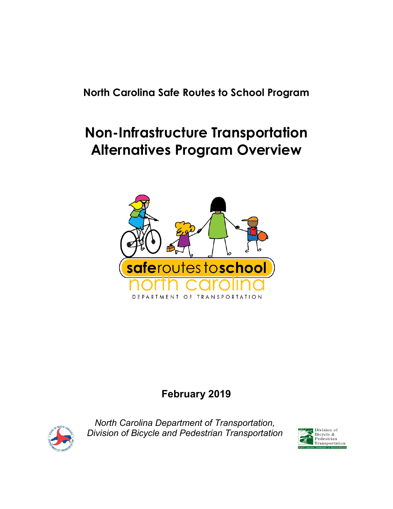<span id="page-0-0"></span>**North Carolina Safe Routes to School Program**

# <span id="page-0-1"></span>**Non-Infrastructure Transportation Alternatives Program Overview**



### **February 2019**



*North Carolina Department of Transportation, Division of Bicycle and Pedestrian Transportation*

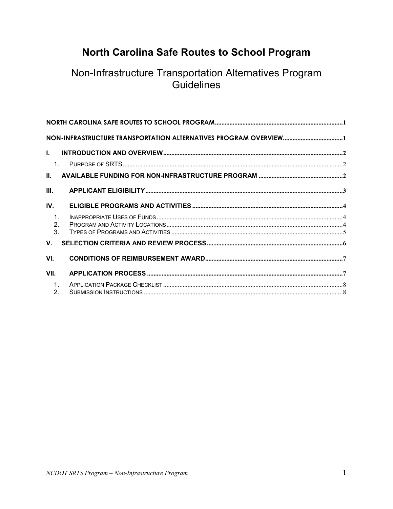# North Carolina Safe Routes to School Program

### Non-Infrastructure Transportation Alternatives Program Guidelines

| Ъ.                 |  |
|--------------------|--|
| 1                  |  |
| Ш.                 |  |
| III.               |  |
| IV.                |  |
| $\mathbf{1}$ .     |  |
| 2.<br>$\mathbf{3}$ |  |
| $V_{\cdot}$        |  |
| VI.                |  |
| VII.               |  |
| $\mathbf{1}$ .     |  |
| 2.                 |  |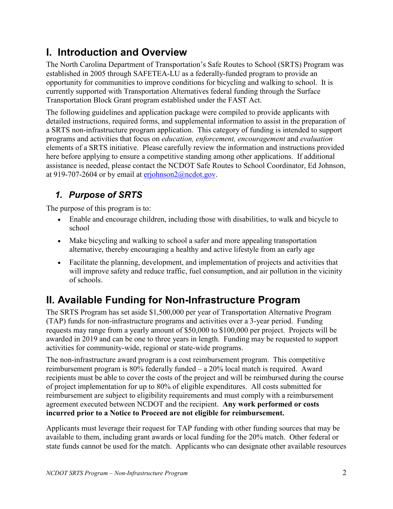# <span id="page-2-0"></span>**I. Introduction and Overview**

The North Carolina Department of Transportation's Safe Routes to School (SRTS) Program was established in 2005 through SAFETEA-LU as a federally-funded program to provide an opportunity for communities to improve conditions for bicycling and walking to school. It is currently supported with Transportation Alternatives federal funding through the Surface Transportation Block Grant program established under the FAST Act.

The following guidelines and application package were compiled to provide applicants with detailed instructions, required forms, and supplemental information to assist in the preparation of a SRTS non-infrastructure program application. This category of funding is intended to support programs and activities that focus on *education, enforcement, encouragement* and *evaluation* elements of a SRTS initiative. Please carefully review the information and instructions provided here before applying to ensure a competitive standing among other applications. If additional assistance is needed, please contact the NCDOT Safe Routes to School Coordinator, Ed Johnson, at 919-707-2604 or by email at  $erichnson2@ncdot.gov$ .

#### <span id="page-2-1"></span>*1. Purpose of SRTS*

The purpose of this program is to:

- Enable and encourage children, including those with disabilities, to walk and bicycle to school
- Make bicycling and walking to school a safer and more appealing transportation alternative, thereby encouraging a healthy and active lifestyle from an early age
- Facilitate the planning, development, and implementation of projects and activities that will improve safety and reduce traffic, fuel consumption, and air pollution in the vicinity of schools.

# <span id="page-2-2"></span>**II. Available Funding for Non-Infrastructure Program**

The SRTS Program has set aside \$1,500,000 per year of Transportation Alternative Program (TAP) funds for non-infrastructure programs and activities over a 3-year period. Funding requests may range from a yearly amount of \$50,000 to \$100,000 per project. Projects will be awarded in 2019 and can be one to three years in length. Funding may be requested to support activities for community-wide, regional or state-wide programs.

The non-infrastructure award program is a cost reimbursement program. This competitive reimbursement program is 80% federally funded – a 20% local match is required. Award recipients must be able to cover the costs of the project and will be reimbursed during the course of project implementation for up to 80% of eligible expenditures. All costs submitted for reimbursement are subject to eligibility requirements and must comply with a reimbursement agreement executed between NCDOT and the recipient. **Any work performed or costs incurred prior to a Notice to Proceed are not eligible for reimbursement.**

Applicants must leverage their request for TAP funding with other funding sources that may be available to them, including grant awards or local funding for the 20% match. Other federal or state funds cannot be used for the match. Applicants who can designate other available resources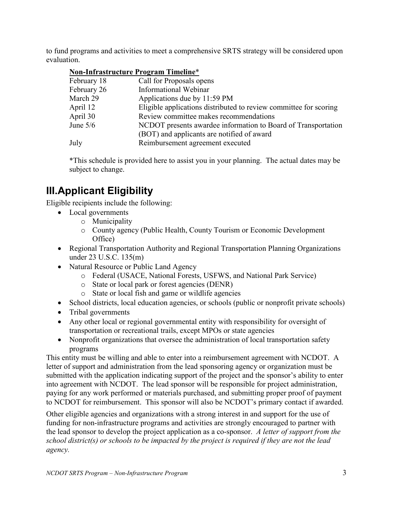to fund programs and activities to meet a comprehensive SRTS strategy will be considered upon evaluation.

| Non-Infrastructure Program Timeline* |  |
|--------------------------------------|--|
|                                      |  |

| February 18 | Call for Proposals opens                                          |
|-------------|-------------------------------------------------------------------|
| February 26 | Informational Webinar                                             |
| March 29    | Applications due by 11:59 PM                                      |
| April 12    | Eligible applications distributed to review committee for scoring |
| April 30    | Review committee makes recommendations                            |
| June $5/6$  | NCDOT presents awardee information to Board of Transportation     |
|             | (BOT) and applicants are notified of award                        |
| July        | Reimbursement agreement executed                                  |

\*This schedule is provided here to assist you in your planning. The actual dates may be subject to change.

# <span id="page-3-0"></span>**III.Applicant Eligibility**

Eligible recipients include the following:

- Local governments
	- o Municipality
	- o County agency (Public Health, County Tourism or Economic Development Office)
- Regional Transportation Authority and Regional Transportation Planning Organizations under 23 U.S.C. 135(m)
- Natural Resource or Public Land Agency
	- o Federal (USACE, National Forests, USFWS, and National Park Service)
	- o State or local park or forest agencies (DENR)
	- o State or local fish and game or wildlife agencies
- School districts, local education agencies, or schools (public or nonprofit private schools)
- Tribal governments
- Any other local or regional governmental entity with responsibility for oversight of transportation or recreational trails, except MPOs or state agencies
- Nonprofit organizations that oversee the administration of local transportation safety programs

This entity must be willing and able to enter into a reimbursement agreement with NCDOT. A letter of support and administration from the lead sponsoring agency or organization must be submitted with the application indicating support of the project and the sponsor's ability to enter into agreement with NCDOT. The lead sponsor will be responsible for project administration, paying for any work performed or materials purchased, and submitting proper proof of payment to NCDOT for reimbursement. This sponsor will also be NCDOT's primary contact if awarded.

Other eligible agencies and organizations with a strong interest in and support for the use of funding for non-infrastructure programs and activities are strongly encouraged to partner with the lead sponsor to develop the project application as a co-sponsor. *A letter of support from the school district(s) or schools to be impacted by the project is required if they are not the lead agency.*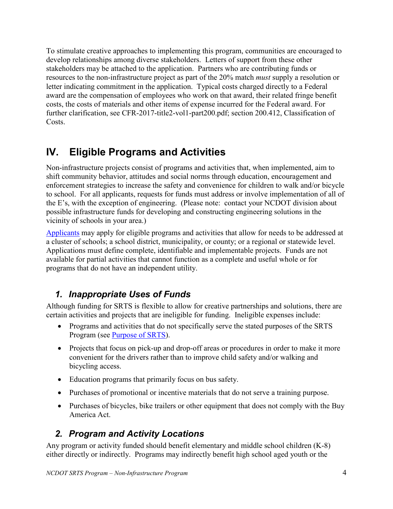To stimulate creative approaches to implementing this program, communities are encouraged to develop relationships among diverse stakeholders. Letters of support from these other stakeholders may be attached to the application. Partners who are contributing funds or resources to the non-infrastructure project as part of the 20% match *must* supply a resolution or letter indicating commitment in the application. Typical costs charged directly to a Federal award are the compensation of employees who work on that award, their related fringe benefit costs, the costs of materials and other items of expense incurred for the Federal award. For further clarification, see CFR-2017-title2-vol1-part200.pdf; section 200.412, Classification of Costs.

# <span id="page-4-0"></span>**IV. Eligible Programs and Activities**

Non-infrastructure projects consist of programs and activities that, when implemented, aim to shift community behavior, attitudes and social norms through education, encouragement and enforcement strategies to increase the safety and convenience for children to walk and/or bicycle to school. For all applicants, requests for funds must address or involve implementation of all of the E's, with the exception of engineering. (Please note: contact your NCDOT division about possible infrastructure funds for developing and constructing engineering solutions in the vicinity of schools in your area.)

[Applicants](#page-3-0) may apply for eligible programs and activities that allow for needs to be addressed at a cluster of schools; a school district, municipality, or county; or a regional or statewide level. Applications must define complete, identifiable and implementable projects. Funds are not available for partial activities that cannot function as a complete and useful whole or for programs that do not have an independent utility.

### <span id="page-4-1"></span>*1. Inappropriate Uses of Funds*

Although funding for SRTS is flexible to allow for creative partnerships and solutions, there are certain activities and projects that are ineligible for funding. Ineligible expenses include:

- Programs and activities that do not specifically serve the stated purposes of the SRTS Program (see [Purpose of SRTS\)](#page-2-1).
- Projects that focus on pick-up and drop-off areas or procedures in order to make it more convenient for the drivers rather than to improve child safety and/or walking and bicycling access.
- Education programs that primarily focus on bus safety.
- Purchases of promotional or incentive materials that do not serve a training purpose.
- Purchases of bicycles, bike trailers or other equipment that does not comply with the Buy America Act.

### <span id="page-4-2"></span>*2. Program and Activity Locations*

Any program or activity funded should benefit elementary and middle school children (K-8) either directly or indirectly. Programs may indirectly benefit high school aged youth or the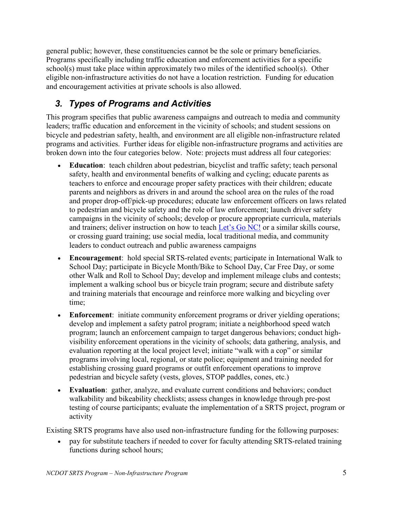general public; however, these constituencies cannot be the sole or primary beneficiaries. Programs specifically including traffic education and enforcement activities for a specific school(s) must take place within approximately two miles of the identified school(s). Other eligible non-infrastructure activities do not have a location restriction. Funding for education and encouragement activities at private schools is also allowed.

### <span id="page-5-0"></span>*3. Types of Programs and Activities*

This program specifies that public awareness campaigns and outreach to media and community leaders; traffic education and enforcement in the vicinity of schools; and student sessions on bicycle and pedestrian safety, health, and environment are all eligible non-infrastructure related programs and activities. Further ideas for eligible non-infrastructure programs and activities are broken down into the four categories below. Note: projects must address all four categories:

- **Education**: teach children about pedestrian, bicyclist and traffic safety; teach personal safety, health and environmental benefits of walking and cycling; educate parents as teachers to enforce and encourage proper safety practices with their children; educate parents and neighbors as drivers in and around the school area on the rules of the road and proper drop-off/pick-up procedures; educate law enforcement officers on laws related to pedestrian and bicycle safety and the role of law enforcement; launch driver safety campaigns in the vicinity of schools; develop or procure appropriate curricula, materials and trainers; deliver instruction on how to teach [Let's Go NC!](https://www.ncdot.gov/initiatives-policies/safety/lets-go-nc/Pages/default.aspx) or a similar skills course, or crossing guard training; use social media, local traditional media, and community leaders to conduct outreach and public awareness campaigns
- **Encouragement**: hold special SRTS-related events; participate in International Walk to School Day; participate in Bicycle Month/Bike to School Day, Car Free Day, or some other Walk and Roll to School Day; develop and implement mileage clubs and contests; implement a walking school bus or bicycle train program; secure and distribute safety and training materials that encourage and reinforce more walking and bicycling over time;
- **Enforcement**: initiate community enforcement programs or driver yielding operations; develop and implement a safety patrol program; initiate a neighborhood speed watch program; launch an enforcement campaign to target dangerous behaviors; conduct highvisibility enforcement operations in the vicinity of schools; data gathering, analysis, and evaluation reporting at the local project level; initiate "walk with a cop" or similar programs involving local, regional, or state police; equipment and training needed for establishing crossing guard programs or outfit enforcement operations to improve pedestrian and bicycle safety (vests, gloves, STOP paddles, cones, etc.)
- **Evaluation**: gather, analyze, and evaluate current conditions and behaviors; conduct walkability and bikeability checklists; assess changes in knowledge through pre-post testing of course participants; evaluate the implementation of a SRTS project, program or activity

Existing SRTS programs have also used non-infrastructure funding for the following purposes:

• pay for substitute teachers if needed to cover for faculty attending SRTS-related training functions during school hours;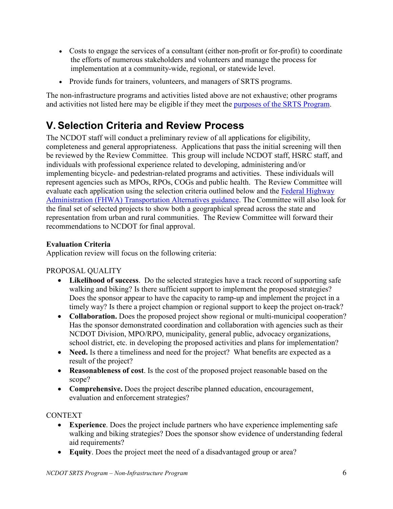- Costs to engage the services of a consultant (either non-profit or for-profit) to coordinate the efforts of numerous stakeholders and volunteers and manage the process for implementation at a community-wide, regional, or statewide level.
- Provide funds for trainers, volunteers, and managers of SRTS programs.

The non-infrastructure programs and activities listed above are not exhaustive; other programs and activities not listed here may be eligible if they meet the [purposes of the SRTS Program.](#page-2-1)

# <span id="page-6-0"></span>**V. Selection Criteria and Review Process**

The NCDOT staff will conduct a preliminary review of all applications for eligibility, completeness and general appropriateness. Applications that pass the initial screening will then be reviewed by the Review Committee. This group will include NCDOT staff, HSRC staff, and individuals with professional experience related to developing, administering and/or implementing bicycle- and pedestrian-related programs and activities. These individuals will represent agencies such as MPOs, RPOs, COGs and public health. The Review Committee will evaluate each application using the selection criteria outlined below and the [Federal Highway](https://www.fhwa.dot.gov/environment/transportation_alternatives/guidance/guidance_2016.cfm)  [Administration \(FHWA\) Transportation Alternatives guidance.](https://www.fhwa.dot.gov/environment/transportation_alternatives/guidance/guidance_2016.cfm) The Committee will also look for the final set of selected projects to show both a geographical spread across the state and representation from urban and rural communities. The Review Committee will forward their recommendations to NCDOT for final approval.

#### **Evaluation Criteria**

Application review will focus on the following criteria:

PROPOSAL QUALITY

- **Likelihood of success**. Do the selected strategies have a track record of supporting safe walking and biking? Is there sufficient support to implement the proposed strategies? Does the sponsor appear to have the capacity to ramp-up and implement the project in a timely way? Is there a project champion or regional support to keep the project on-track?
- **Collaboration.** Does the proposed project show regional or multi-municipal cooperation? Has the sponsor demonstrated coordination and collaboration with agencies such as their NCDOT Division, MPO/RPO, municipality, general public, advocacy organizations, school district, etc. in developing the proposed activities and plans for implementation?
- **Need.** Is there a timeliness and need for the project? What benefits are expected as a result of the project?
- **Reasonableness of cost**. Is the cost of the proposed project reasonable based on the scope?
- **Comprehensive.** Does the project describe planned education, encouragement, evaluation and enforcement strategies?

#### CONTEXT

- **Experience**. Does the project include partners who have experience implementing safe walking and biking strategies? Does the sponsor show evidence of understanding federal aid requirements?
- **Equity**. Does the project meet the need of a disadvantaged group or area?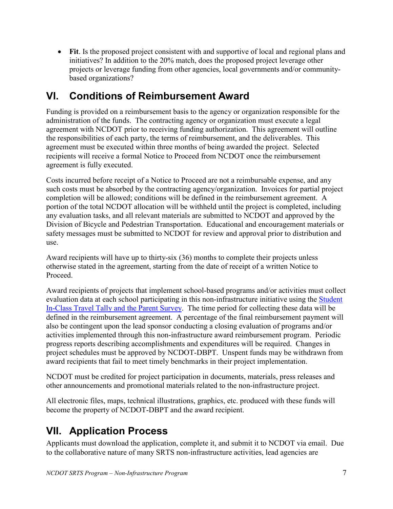• **Fit**. Is the proposed project consistent with and supportive of local and regional plans and initiatives? In addition to the 20% match, does the proposed project leverage other projects or leverage funding from other agencies, local governments and/or communitybased organizations?

# <span id="page-7-0"></span>**VI. Conditions of Reimbursement Award**

Funding is provided on a reimbursement basis to the agency or organization responsible for the administration of the funds. The contracting agency or organization must execute a legal agreement with NCDOT prior to receiving funding authorization. This agreement will outline the responsibilities of each party, the terms of reimbursement, and the deliverables. This agreement must be executed within three months of being awarded the project. Selected recipients will receive a formal Notice to Proceed from NCDOT once the reimbursement agreement is fully executed.

Costs incurred before receipt of a Notice to Proceed are not a reimbursable expense, and any such costs must be absorbed by the contracting agency/organization. Invoices for partial project completion will be allowed; conditions will be defined in the reimbursement agreement. A portion of the total NCDOT allocation will be withheld until the project is completed, including any evaluation tasks, and all relevant materials are submitted to NCDOT and approved by the Division of Bicycle and Pedestrian Transportation. Educational and encouragement materials or safety messages must be submitted to NCDOT for review and approval prior to distribution and use.

Award recipients will have up to thirty-six (36) months to complete their projects unless otherwise stated in the agreement, starting from the date of receipt of a written Notice to Proceed.

Award recipients of projects that implement school-based programs and/or activities must collect evaluation data at each school participating in this non-infrastructure initiative using the [Student](http://saferoutesdata.org/)  In-Class Travel Tally [and the Parent Survey.](http://saferoutesdata.org/) The time period for collecting these data will be defined in the reimbursement agreement. A percentage of the final reimbursement payment will also be contingent upon the lead sponsor conducting a closing evaluation of programs and/or activities implemented through this non-infrastructure award reimbursement program. Periodic progress reports describing accomplishments and expenditures will be required. Changes in project schedules must be approved by NCDOT-DBPT. Unspent funds may be withdrawn from award recipients that fail to meet timely benchmarks in their project implementation.

NCDOT must be credited for project participation in documents, materials, press releases and other announcements and promotional materials related to the non-infrastructure project.

All electronic files, maps, technical illustrations, graphics, etc. produced with these funds will become the property of NCDOT-DBPT and the award recipient.

# <span id="page-7-1"></span>**VII. Application Process**

Applicants must download the application, complete it, and submit it to NCDOT via email. Due to the collaborative nature of many SRTS non-infrastructure activities, lead agencies are